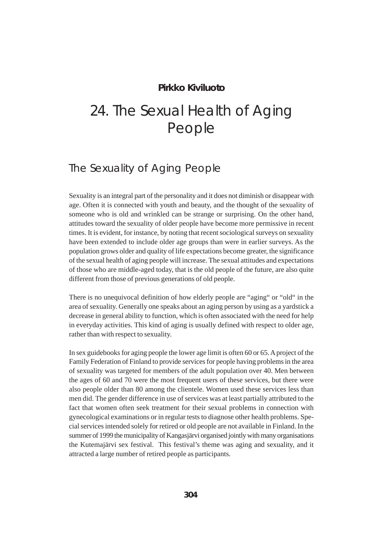# **Pirkko Kiviluoto**

# 24. The Sexual Health of Aging People

# The Sexuality of Aging People

Sexuality is an integral part of the personality and it does not diminish or disappear with age. Often it is connected with youth and beauty, and the thought of the sexuality of someone who is old and wrinkled can be strange or surprising. On the other hand, attitudes toward the sexuality of older people have become more permissive in recent times. It is evident, for instance, by noting that recent sociological surveys on sexuality have been extended to include older age groups than were in earlier surveys. As the population grows older and quality of life expectations become greater, the significance of the sexual health of aging people will increase. The sexual attitudes and expectations of those who are middle-aged today, that is the old people of the future, are also quite different from those of previous generations of old people.

There is no unequivocal definition of how elderly people are "aging" or "old" in the area of sexuality. Generally one speaks about an aging person by using as a yardstick a decrease in general ability to function, which is often associated with the need for help in everyday activities. This kind of aging is usually defined with respect to older age, rather than with respect to sexuality.

In sex guidebooks for aging people the lower age limit is often 60 or 65. A project of the Family Federation of Finland to provide services for people having problems in the area of sexuality was targeted for members of the adult population over 40. Men between the ages of 60 and 70 were the most frequent users of these services, but there were also people older than 80 among the clientele. Women used these services less than men did. The gender difference in use of services was at least partially attributed to the fact that women often seek treatment for their sexual problems in connection with gynecological examinations or in regular tests to diagnose other health problems. Special services intended solely for retired or old people are not available in Finland. In the summer of 1999 the municipality of Kangasjärvi organised jointly with many organisations the Kutemajärvi sex festival. This festival's theme was aging and sexuality, and it attracted a large number of retired people as participants.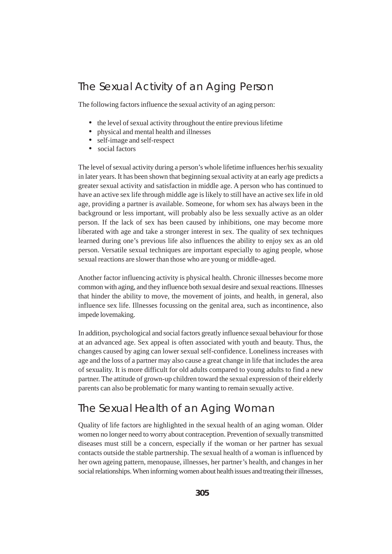# The Sexual Activity of an Aging Person

The following factors influence the sexual activity of an aging person:

- the level of sexual activity throughout the entire previous lifetime
- physical and mental health and illnesses
- self-image and self-respect
- social factors

The level of sexual activity during a person's whole lifetime influences her/his sexuality in later years. It has been shown that beginning sexual activity at an early age predicts a greater sexual activity and satisfaction in middle age. A person who has continued to have an active sex life through middle age is likely to still have an active sex life in old age, providing a partner is available. Someone, for whom sex has always been in the background or less important, will probably also be less sexually active as an older person. If the lack of sex has been caused by inhibitions, one may become more liberated with age and take a stronger interest in sex. The quality of sex techniques learned during one's previous life also influences the ability to enjoy sex as an old person. Versatile sexual techniques are important especially to aging people, whose sexual reactions are slower than those who are young or middle-aged.

Another factor influencing activity is physical health. Chronic illnesses become more common with aging, and they influence both sexual desire and sexual reactions. Illnesses that hinder the ability to move, the movement of joints, and health, in general, also influence sex life. Illnesses focussing on the genital area, such as incontinence, also impede lovemaking.

In addition, psychological and social factors greatly influence sexual behaviour for those at an advanced age. Sex appeal is often associated with youth and beauty. Thus, the changes caused by aging can lower sexual self-confidence. Loneliness increases with age and the loss of a partner may also cause a great change in life that includes the area of sexuality. It is more difficult for old adults compared to young adults to find a new partner. The attitude of grown-up children toward the sexual expression of their elderly parents can also be problematic for many wanting to remain sexually active.

# The Sexual Health of an Aging Woman

Quality of life factors are highlighted in the sexual health of an aging woman. Older women no longer need to worry about contraception. Prevention of sexually transmitted diseases must still be a concern, especially if the woman or her partner has sexual contacts outside the stable partnership. The sexual health of a woman is influenced by her own ageing pattern, menopause, illnesses, her partner's health, and changes in her social relationships. When informing women about health issues and treating their illnesses,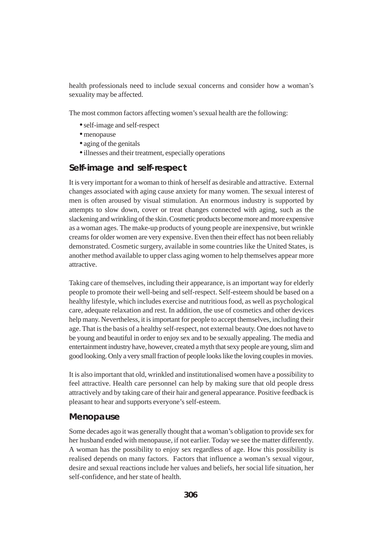health professionals need to include sexual concerns and consider how a woman's sexuality may be affected.

The most common factors affecting women's sexual health are the following:

- •self-image and self-respect
- menopause
- aging of the genitals
- •illnesses and their treatment, especially operations

### **Self-image and self-respect**

It is very important for a woman to think of herself as desirable and attractive. External changes associated with aging cause anxiety for many women. The sexual interest of men is often aroused by visual stimulation. An enormous industry is supported by attempts to slow down, cover or treat changes connected with aging, such as the slackening and wrinkling of the skin. Cosmetic products become more and more expensive as a woman ages. The make-up products of young people are inexpensive, but wrinkle creams for older women are very expensive. Even then their effect has not been reliably demonstrated. Cosmetic surgery, available in some countries like the United States, is another method available to upper class aging women to help themselves appear more attractive.

Taking care of themselves, including their appearance, is an important way for elderly people to promote their well-being and self-respect. Self-esteem should be based on a healthy lifestyle, which includes exercise and nutritious food, as well as psychological care, adequate relaxation and rest. In addition, the use of cosmetics and other devices help many. Nevertheless, it is important for people to accept themselves, including their age. That is the basis of a healthy self-respect, not external beauty. One does not have to be young and beautiful in order to enjoy sex and to be sexually appealing. The media and entertainment industry have, however, created a myth that sexy people are young, slim and good looking. Only a very small fraction of people looks like the loving couples in movies.

It is also important that old, wrinkled and institutionalised women have a possibility to feel attractive. Health care personnel can help by making sure that old people dress attractively and by taking care of their hair and general appearance. Positive feedback is pleasant to hear and supports everyone's self-esteem.

#### **Menopause**

Some decades ago it was generally thought that a woman's obligation to provide sex for her husband ended with menopause, if not earlier. Today we see the matter differently. A woman has the possibility to enjoy sex regardless of age. How this possibility is realised depends on many factors. Factors that influence a woman's sexual vigour, desire and sexual reactions include her values and beliefs, her social life situation, her self-confidence, and her state of health.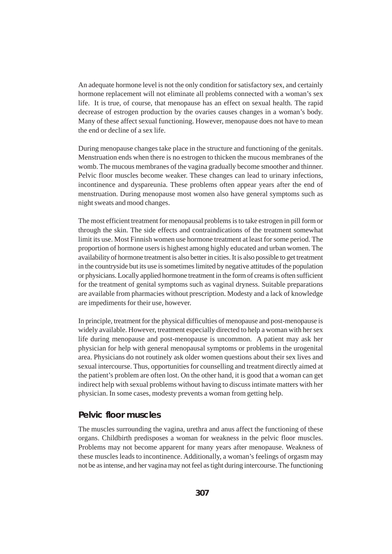An adequate hormone level is not the only condition for satisfactory sex, and certainly hormone replacement will not eliminate all problems connected with a woman's sex life. It is true, of course, that menopause has an effect on sexual health. The rapid decrease of estrogen production by the ovaries causes changes in a woman's body. Many of these affect sexual functioning. However, menopause does not have to mean the end or decline of a sex life.

During menopause changes take place in the structure and functioning of the genitals. Menstruation ends when there is no estrogen to thicken the mucous membranes of the womb. The mucous membranes of the vagina gradually become smoother and thinner. Pelvic floor muscles become weaker. These changes can lead to urinary infections, incontinence and dyspareunia. These problems often appear years after the end of menstruation. During menopause most women also have general symptoms such as night sweats and mood changes.

The most efficient treatment for menopausal problems is to take estrogen in pill form or through the skin. The side effects and contraindications of the treatment somewhat limit its use. Most Finnish women use hormone treatment at least for some period. The proportion of hormone users is highest among highly educated and urban women. The availability of hormone treatment is also better in cities. It is also possible to get treatment in the countryside but its use is sometimes limited by negative attitudes of the population or physicians. Locally applied hormone treatment in the form of creams is often sufficient for the treatment of genital symptoms such as vaginal dryness. Suitable preparations are available from pharmacies without prescription. Modesty and a lack of knowledge are impediments for their use, however.

In principle, treatment for the physical difficulties of menopause and post-menopause is widely available. However, treatment especially directed to help a woman with her sex life during menopause and post-menopause is uncommon. A patient may ask her physician for help with general menopausal symptoms or problems in the urogenital area. Physicians do not routinely ask older women questions about their sex lives and sexual intercourse. Thus, opportunities for counselling and treatment directly aimed at the patient's problem are often lost. On the other hand, it is good that a woman can get indirect help with sexual problems without having to discuss intimate matters with her physician. In some cases, modesty prevents a woman from getting help.

### **Pelvic floor muscles**

The muscles surrounding the vagina, urethra and anus affect the functioning of these organs. Childbirth predisposes a woman for weakness in the pelvic floor muscles. Problems may not become apparent for many years after menopause. Weakness of these muscles leads to incontinence. Additionally, a woman's feelings of orgasm may not be as intense, and her vagina may not feel as tight during intercourse. The functioning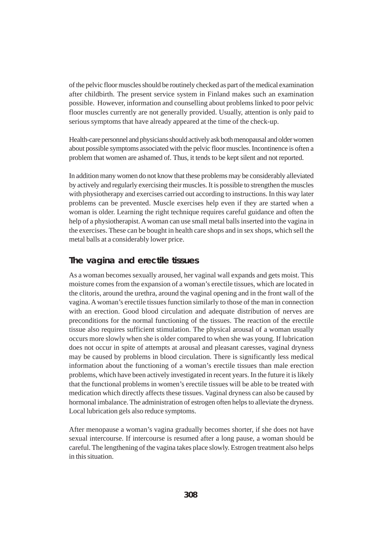of the pelvic floor muscles should be routinely checked as part of the medical examination after childbirth. The present service system in Finland makes such an examination possible. However, information and counselling about problems linked to poor pelvic floor muscles currently are not generally provided. Usually, attention is only paid to serious symptoms that have already appeared at the time of the check-up.

Health-care personnel and physicians should actively ask both menopausal and older women about possible symptoms associated with the pelvic floor muscles. Incontinence is often a problem that women are ashamed of. Thus, it tends to be kept silent and not reported.

In addition many women do not know that these problems may be considerably alleviated by actively and regularly exercising their muscles. It is possible to strengthen the muscles with physiotherapy and exercises carried out according to instructions. In this way later problems can be prevented. Muscle exercises help even if they are started when a woman is older. Learning the right technique requires careful guidance and often the help of a physiotherapist. A woman can use small metal balls inserted into the vagina in the exercises. These can be bought in health care shops and in sex shops, which sell the metal balls at a considerably lower price.

### **The vagina and erectile tissues**

As a woman becomes sexually aroused, her vaginal wall expands and gets moist. This moisture comes from the expansion of a woman's erectile tissues, which are located in the clitoris, around the urethra, around the vaginal opening and in the front wall of the vagina. A woman's erectile tissues function similarly to those of the man in connection with an erection. Good blood circulation and adequate distribution of nerves are preconditions for the normal functioning of the tissues. The reaction of the erectile tissue also requires sufficient stimulation. The physical arousal of a woman usually occurs more slowly when she is older compared to when she was young. If lubrication does not occur in spite of attempts at arousal and pleasant caresses, vaginal dryness may be caused by problems in blood circulation. There is significantly less medical information about the functioning of a woman's erectile tissues than male erection problems, which have been actively investigated in recent years. In the future it is likely that the functional problems in women's erectile tissues will be able to be treated with medication which directly affects these tissues. Vaginal dryness can also be caused by hormonal imbalance. The administration of estrogen often helps to alleviate the dryness. Local lubrication gels also reduce symptoms.

After menopause a woman's vagina gradually becomes shorter, if she does not have sexual intercourse. If intercourse is resumed after a long pause, a woman should be careful. The lengthening of the vagina takes place slowly. Estrogen treatment also helps in this situation.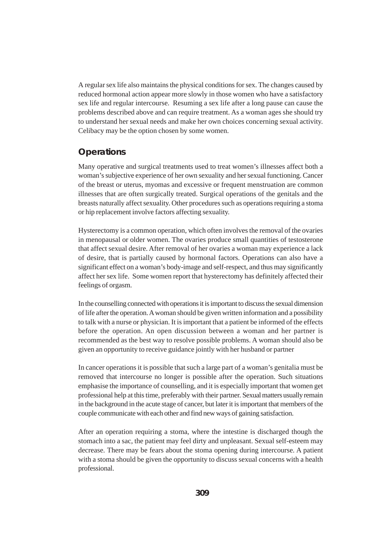A regular sex life also maintains the physical conditions for sex. The changes caused by reduced hormonal action appear more slowly in those women who have a satisfactory sex life and regular intercourse. Resuming a sex life after a long pause can cause the problems described above and can require treatment. As a woman ages she should try to understand her sexual needs and make her own choices concerning sexual activity. Celibacy may be the option chosen by some women.

# **Operations**

Many operative and surgical treatments used to treat women's illnesses affect both a woman's subjective experience of her own sexuality and her sexual functioning. Cancer of the breast or uterus, myomas and excessive or frequent menstruation are common illnesses that are often surgically treated. Surgical operations of the genitals and the breasts naturally affect sexuality. Other procedures such as operations requiring a stoma or hip replacement involve factors affecting sexuality.

Hysterectomy is a common operation, which often involves the removal of the ovaries in menopausal or older women. The ovaries produce small quantities of testosterone that affect sexual desire. After removal of her ovaries a woman may experience a lack of desire, that is partially caused by hormonal factors. Operations can also have a significant effect on a woman's body-image and self-respect, and thus may significantly affect her sex life. Some women report that hysterectomy has definitely affected their feelings of orgasm.

In the counselling connected with operations it is important to discuss the sexual dimension of life after the operation. A woman should be given written information and a possibility to talk with a nurse or physician. It is important that a patient be informed of the effects before the operation. An open discussion between a woman and her partner is recommended as the best way to resolve possible problems. A woman should also be given an opportunity to receive guidance jointly with her husband or partner

In cancer operations it is possible that such a large part of a woman's genitalia must be removed that intercourse no longer is possible after the operation. Such situations emphasise the importance of counselling, and it is especially important that women get professional help at this time, preferably with their partner. Sexual matters usually remain in the background in the acute stage of cancer, but later it is important that members of the couple communicate with each other and find new ways of gaining satisfaction.

After an operation requiring a stoma, where the intestine is discharged though the stomach into a sac, the patient may feel dirty and unpleasant. Sexual self-esteem may decrease. There may be fears about the stoma opening during intercourse. A patient with a stoma should be given the opportunity to discuss sexual concerns with a health professional.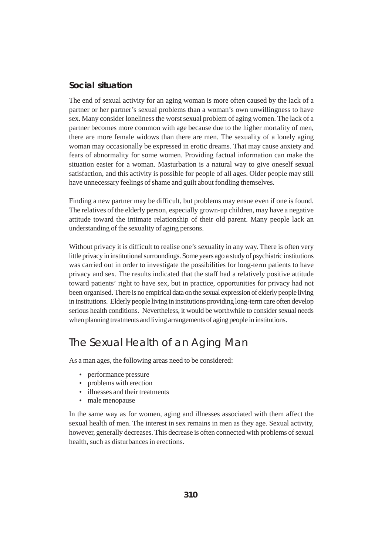## **Social situation**

The end of sexual activity for an aging woman is more often caused by the lack of a partner or her partner's sexual problems than a woman's own unwillingness to have sex. Many consider loneliness the worst sexual problem of aging women. The lack of a partner becomes more common with age because due to the higher mortality of men, there are more female widows than there are men. The sexuality of a lonely aging woman may occasionally be expressed in erotic dreams. That may cause anxiety and fears of abnormality for some women. Providing factual information can make the situation easier for a woman. Masturbation is a natural way to give oneself sexual satisfaction, and this activity is possible for people of all ages. Older people may still have unnecessary feelings of shame and guilt about fondling themselves.

Finding a new partner may be difficult, but problems may ensue even if one is found. The relatives of the elderly person, especially grown-up children, may have a negative attitude toward the intimate relationship of their old parent. Many people lack an understanding of the sexuality of aging persons.

Without privacy it is difficult to realise one's sexuality in any way. There is often very little privacy in institutional surroundings. Some years ago a study of psychiatric institutions was carried out in order to investigate the possibilities for long-term patients to have privacy and sex. The results indicated that the staff had a relatively positive attitude toward patients' right to have sex, but in practice, opportunities for privacy had not been organised. There is no empirical data on the sexual expression of elderly people living in institutions. Elderly people living in institutions providing long-term care often develop serious health conditions. Nevertheless, it would be worthwhile to consider sexual needs when planning treatments and living arrangements of aging people in institutions.

# The Sexual Health of an Aging Man

As a man ages, the following areas need to be considered:

- performance pressure
- problems with erection
- illnesses and their treatments
- male menopause

In the same way as for women, aging and illnesses associated with them affect the sexual health of men. The interest in sex remains in men as they age. Sexual activity, however, generally decreases. This decrease is often connected with problems of sexual health, such as disturbances in erections.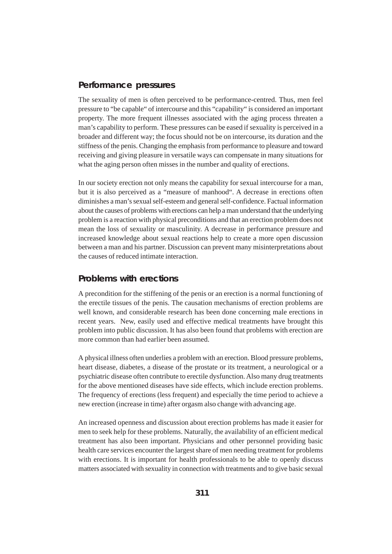## **Performance pressures**

The sexuality of men is often perceived to be performance-centred. Thus, men feel pressure to "be capable" of intercourse and this "capability" is considered an important property. The more frequent illnesses associated with the aging process threaten a man's capability to perform. These pressures can be eased if sexuality is perceived in a broader and different way; the focus should not be on intercourse, its duration and the stiffness of the penis. Changing the emphasis from performance to pleasure and toward receiving and giving pleasure in versatile ways can compensate in many situations for what the aging person often misses in the number and quality of erections.

In our society erection not only means the capability for sexual intercourse for a man, but it is also perceived as a "measure of manhood". A decrease in erections often diminishes a man's sexual self-esteem and general self-confidence. Factual information about the causes of problems with erections can help a man understand that the underlying problem is a reaction with physical preconditions and that an erection problem does not mean the loss of sexuality or masculinity. A decrease in performance pressure and increased knowledge about sexual reactions help to create a more open discussion between a man and his partner. Discussion can prevent many misinterpretations about the causes of reduced intimate interaction.

### **Problems with erections**

A precondition for the stiffening of the penis or an erection is a normal functioning of the erectile tissues of the penis. The causation mechanisms of erection problems are well known, and considerable research has been done concerning male erections in recent years. New, easily used and effective medical treatments have brought this problem into public discussion. It has also been found that problems with erection are more common than had earlier been assumed.

A physical illness often underlies a problem with an erection. Blood pressure problems, heart disease, diabetes, a disease of the prostate or its treatment, a neurological or a psychiatric disease often contribute to erectile dysfunction. Also many drug treatments for the above mentioned diseases have side effects, which include erection problems. The frequency of erections (less frequent) and especially the time period to achieve a new erection (increase in time) after orgasm also change with advancing age.

An increased openness and discussion about erection problems has made it easier for men to seek help for these problems. Naturally, the availability of an efficient medical treatment has also been important. Physicians and other personnel providing basic health care services encounter the largest share of men needing treatment for problems with erections. It is important for health professionals to be able to openly discuss matters associated with sexuality in connection with treatments and to give basic sexual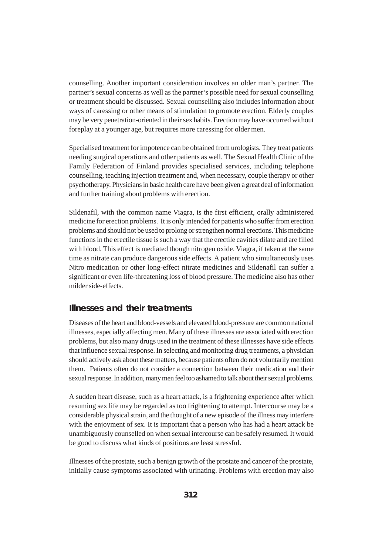counselling. Another important consideration involves an older man's partner. The partner's sexual concerns as well as the partner's possible need for sexual counselling or treatment should be discussed. Sexual counselling also includes information about ways of caressing or other means of stimulation to promote erection. Elderly couples may be very penetration-oriented in their sex habits. Erection may have occurred without foreplay at a younger age, but requires more caressing for older men.

Specialised treatment for impotence can be obtained from urologists. They treat patients needing surgical operations and other patients as well. The Sexual Health Clinic of the Family Federation of Finland provides specialised services, including telephone counselling, teaching injection treatment and, when necessary, couple therapy or other psychotherapy. Physicians in basic health care have been given a great deal of information and further training about problems with erection.

Sildenafil, with the common name Viagra, is the first efficient, orally administered medicine for erection problems. It is only intended for patients who suffer from erection problems and should not be used to prolong or strengthen normal erections. This medicine functions in the erectile tissue is such a way that the erectile cavities dilate and are filled with blood. This effect is mediated though nitrogen oxide. Viagra, if taken at the same time as nitrate can produce dangerous side effects. A patient who simultaneously uses Nitro medication or other long-effect nitrate medicines and Sildenafil can suffer a significant or even life-threatening loss of blood pressure. The medicine also has other milder side-effects.

### **Illnesses and their treatments**

Diseases of the heart and blood-vessels and elevated blood-pressure are common national illnesses, especially affecting men. Many of these illnesses are associated with erection problems, but also many drugs used in the treatment of these illnesses have side effects that influence sexual response. In selecting and monitoring drug treatments, a physician should actively ask about these matters, because patients often do not voluntarily mention them. Patients often do not consider a connection between their medication and their sexual response. In addition, many men feel too ashamed to talk about their sexual problems.

A sudden heart disease, such as a heart attack, is a frightening experience after which resuming sex life may be regarded as too frightening to attempt. Intercourse may be a considerable physical strain, and the thought of a new episode of the illness may interfere with the enjoyment of sex. It is important that a person who has had a heart attack be unambiguously counselled on when sexual intercourse can be safely resumed. It would be good to discuss what kinds of positions are least stressful.

Illnesses of the prostate, such a benign growth of the prostate and cancer of the prostate, initially cause symptoms associated with urinating. Problems with erection may also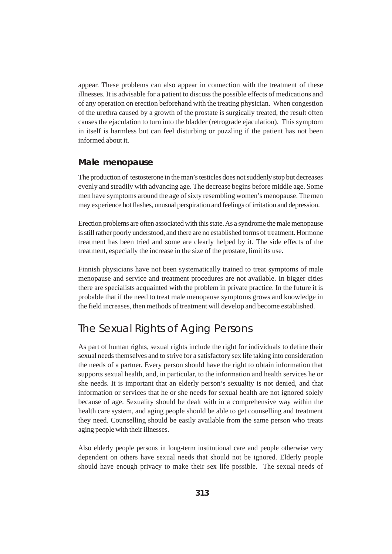appear. These problems can also appear in connection with the treatment of these illnesses. It is advisable for a patient to discuss the possible effects of medications and of any operation on erection beforehand with the treating physician. When congestion of the urethra caused by a growth of the prostate is surgically treated, the result often causes the ejaculation to turn into the bladder (retrograde ejaculation). This symptom in itself is harmless but can feel disturbing or puzzling if the patient has not been informed about it.

#### **Male menopause**

The production of testosterone in the man's testicles does not suddenly stop but decreases evenly and steadily with advancing age. The decrease begins before middle age. Some men have symptoms around the age of sixty resembling women's menopause. The men may experience hot flashes, unusual perspiration and feelings of irritation and depression.

Erection problems are often associated with this state. As a syndrome the male menopause is still rather poorly understood, and there are no established forms of treatment. Hormone treatment has been tried and some are clearly helped by it. The side effects of the treatment, especially the increase in the size of the prostate, limit its use.

Finnish physicians have not been systematically trained to treat symptoms of male menopause and service and treatment procedures are not available. In bigger cities there are specialists acquainted with the problem in private practice. In the future it is probable that if the need to treat male menopause symptoms grows and knowledge in the field increases, then methods of treatment will develop and become established.

# The Sexual Rights of Aging Persons

As part of human rights, sexual rights include the right for individuals to define their sexual needs themselves and to strive for a satisfactory sex life taking into consideration the needs of a partner. Every person should have the right to obtain information that supports sexual health, and, in particular, to the information and health services he or she needs. It is important that an elderly person's sexuality is not denied, and that information or services that he or she needs for sexual health are not ignored solely because of age. Sexuality should be dealt with in a comprehensive way within the health care system, and aging people should be able to get counselling and treatment they need. Counselling should be easily available from the same person who treats aging people with their illnesses.

Also elderly people persons in long-term institutional care and people otherwise very dependent on others have sexual needs that should not be ignored. Elderly people should have enough privacy to make their sex life possible. The sexual needs of